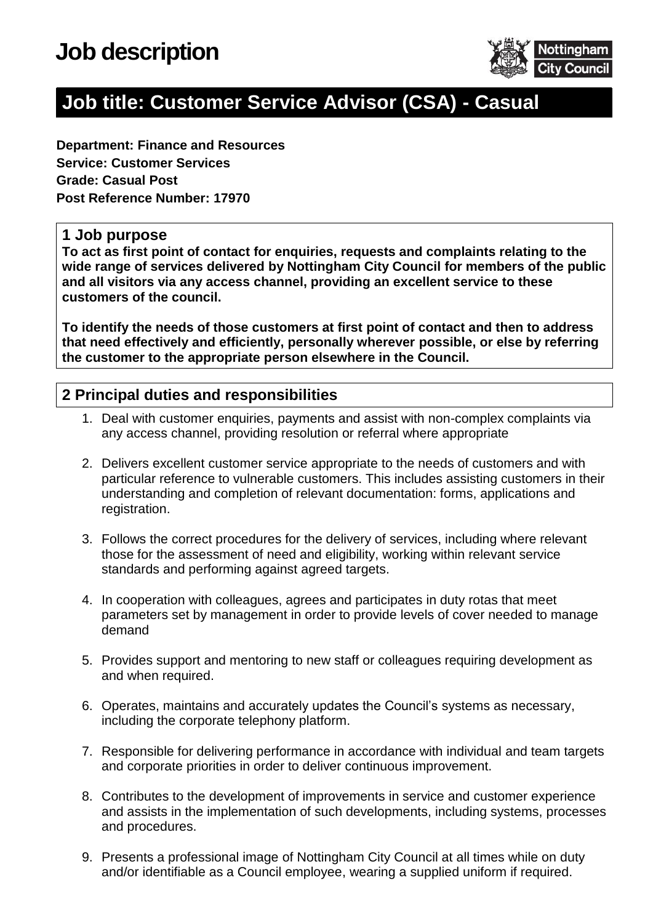

## **Job title: Customer Service Advisor (CSA) - Casual**

**Department: Finance and Resources Service: Customer Services Grade: Casual Post Post Reference Number: 17970**

#### **1 Job purpose**

**To act as first point of contact for enquiries, requests and complaints relating to the wide range of services delivered by Nottingham City Council for members of the public and all visitors via any access channel, providing an excellent service to these customers of the council.** 

**To identify the needs of those customers at first point of contact and then to address that need effectively and efficiently, personally wherever possible, or else by referring the customer to the appropriate person elsewhere in the Council.**

#### **2 Principal duties and responsibilities**

- 1. Deal with customer enquiries, payments and assist with non-complex complaints via any access channel, providing resolution or referral where appropriate
- 2. Delivers excellent customer service appropriate to the needs of customers and with particular reference to vulnerable customers. This includes assisting customers in their understanding and completion of relevant documentation: forms, applications and registration.
- 3. Follows the correct procedures for the delivery of services, including where relevant those for the assessment of need and eligibility, working within relevant service standards and performing against agreed targets.
- 4. In cooperation with colleagues, agrees and participates in duty rotas that meet parameters set by management in order to provide levels of cover needed to manage demand
- 5. Provides support and mentoring to new staff or colleagues requiring development as and when required.
- 6. Operates, maintains and accurately updates the Council's systems as necessary, including the corporate telephony platform.
- 7. Responsible for delivering performance in accordance with individual and team targets and corporate priorities in order to deliver continuous improvement.
- 8. Contributes to the development of improvements in service and customer experience and assists in the implementation of such developments, including systems, processes and procedures.
- 9. Presents a professional image of Nottingham City Council at all times while on duty and/or identifiable as a Council employee, wearing a supplied uniform if required.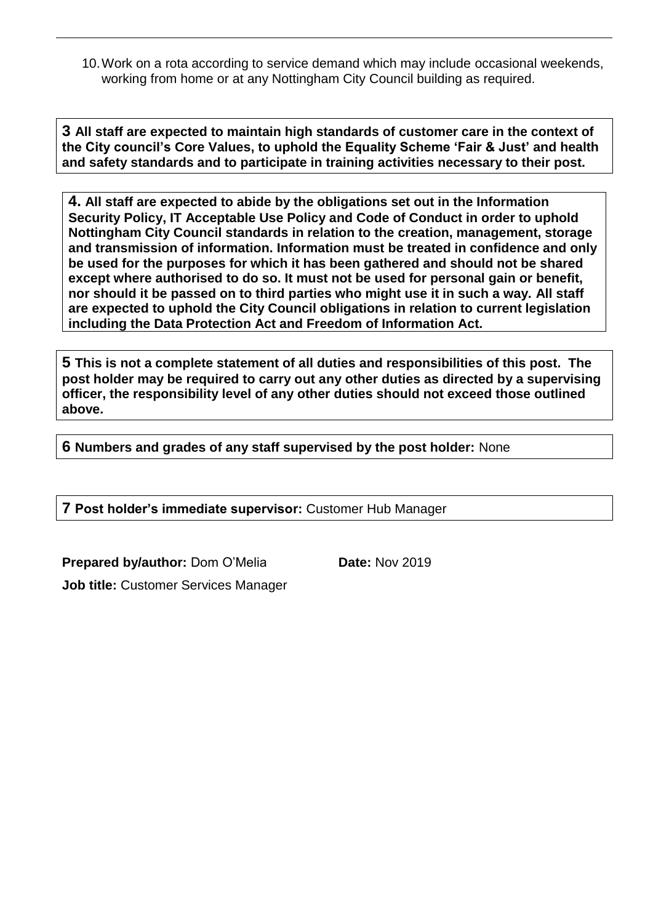10.Work on a rota according to service demand which may include occasional weekends, working from home or at any Nottingham City Council building as required.

**3 All staff are expected to maintain high standards of customer care in the context of the City council's Core Values, to uphold the Equality Scheme 'Fair & Just' and health and safety standards and to participate in training activities necessary to their post.**

**4. All staff are expected to abide by the obligations set out in the Information Security Policy, IT Acceptable Use Policy and Code of Conduct in order to uphold Nottingham City Council standards in relation to the creation, management, storage and transmission of information. Information must be treated in confidence and only be used for the purposes for which it has been gathered and should not be shared except where authorised to do so. It must not be used for personal gain or benefit, nor should it be passed on to third parties who might use it in such a way. All staff are expected to uphold the City Council obligations in relation to current legislation including the Data Protection Act and Freedom of Information Act.**

**5 This is not a complete statement of all duties and responsibilities of this post. The post holder may be required to carry out any other duties as directed by a supervising officer, the responsibility level of any other duties should not exceed those outlined above.**

**6 Numbers and grades of any staff supervised by the post holder:** None

**7 Post holder's immediate supervisor:** Customer Hub Manager

**Prepared by/author:** Dom O'Melia **Date:** Nov 2019

**Job title:** Customer Services Manager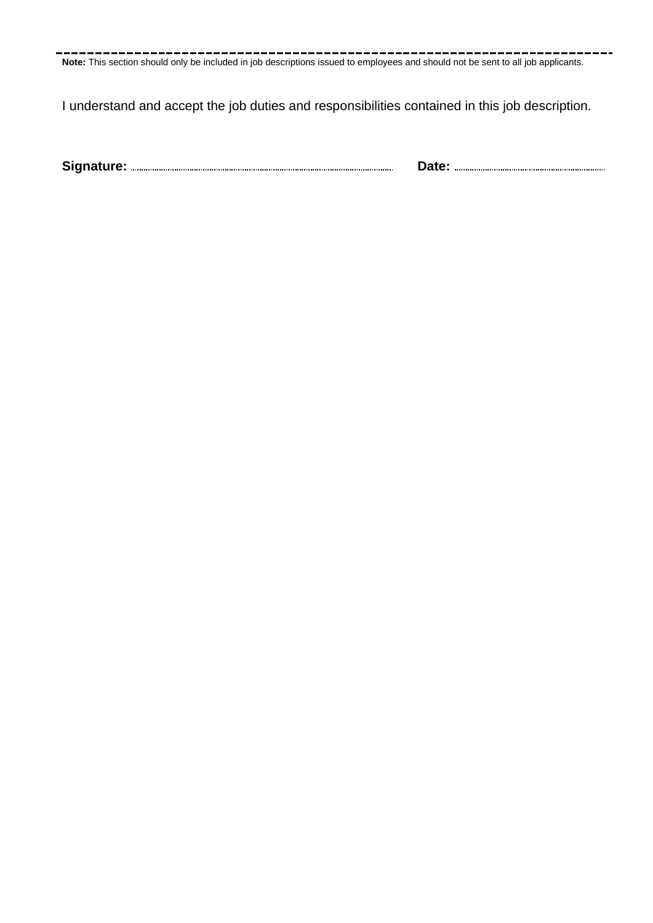å. **Note:** This section should only be included in job descriptions issued to employees and should not be sent to all job applicants.

I understand and accept the job duties and responsibilities contained in this job description.

**Signature: Date:**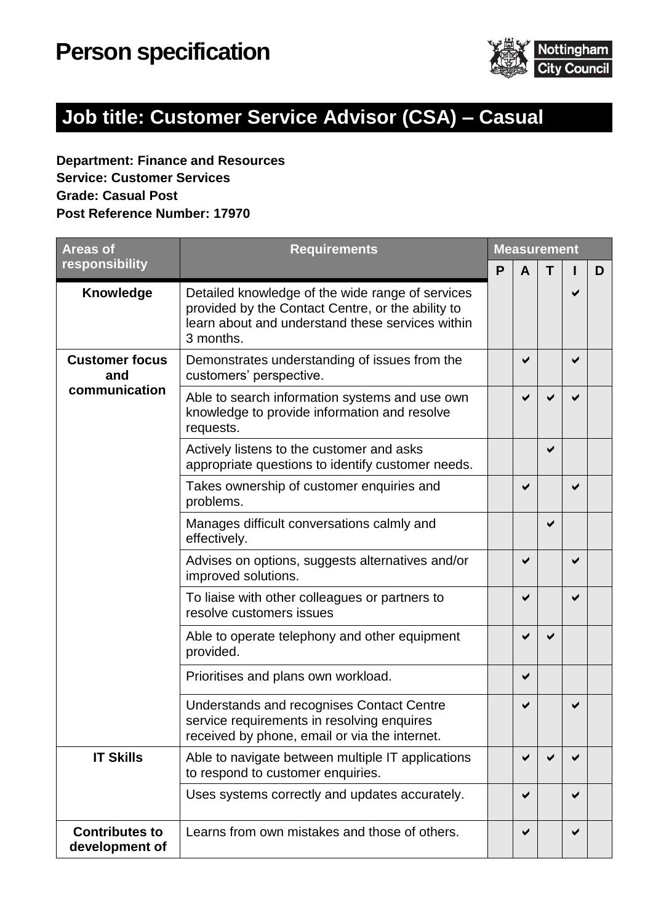

# **Job title: Customer Service Advisor (CSA) – Casual**

### **Department: Finance and Resources Service: Customer Services Grade: Casual Post Post Reference Number: 17970**

| <b>Areas of</b>                               | <b>Requirements</b>                                                                                                                                                    |  | <b>Measurement</b> |   |   |   |  |
|-----------------------------------------------|------------------------------------------------------------------------------------------------------------------------------------------------------------------------|--|--------------------|---|---|---|--|
| responsibility                                |                                                                                                                                                                        |  | $\mathbf{A}$       | Т |   | D |  |
| Knowledge                                     | Detailed knowledge of the wide range of services<br>provided by the Contact Centre, or the ability to<br>learn about and understand these services within<br>3 months. |  |                    |   | ✔ |   |  |
| <b>Customer focus</b><br>and<br>communication | Demonstrates understanding of issues from the<br>customers' perspective.                                                                                               |  | ✔                  |   | ✔ |   |  |
|                                               | Able to search information systems and use own<br>knowledge to provide information and resolve<br>requests.                                                            |  |                    |   |   |   |  |
|                                               | Actively listens to the customer and asks<br>appropriate questions to identify customer needs.                                                                         |  |                    | ✔ |   |   |  |
|                                               | Takes ownership of customer enquiries and<br>problems.                                                                                                                 |  | ✔                  |   | ✔ |   |  |
|                                               | Manages difficult conversations calmly and<br>effectively.                                                                                                             |  |                    | ✔ |   |   |  |
|                                               | Advises on options, suggests alternatives and/or<br>improved solutions.                                                                                                |  | ✔                  |   | ✔ |   |  |
|                                               | To liaise with other colleagues or partners to<br>resolve customers issues                                                                                             |  | ✔                  |   | ✔ |   |  |
|                                               | Able to operate telephony and other equipment<br>provided.                                                                                                             |  | ✔                  | ✔ |   |   |  |
|                                               | Prioritises and plans own workload.                                                                                                                                    |  | ✔                  |   |   |   |  |
|                                               | Understands and recognises Contact Centre<br>service requirements in resolving enquires<br>received by phone, email or via the internet.                               |  | ✔                  |   |   |   |  |
| <b>IT Skills</b>                              | Able to navigate between multiple IT applications<br>to respond to customer enquiries.                                                                                 |  | ✔                  |   |   |   |  |
|                                               | Uses systems correctly and updates accurately.                                                                                                                         |  | ✔                  |   | ✔ |   |  |
| <b>Contributes to</b><br>development of       | Learns from own mistakes and those of others.                                                                                                                          |  | ✔                  |   | ✔ |   |  |